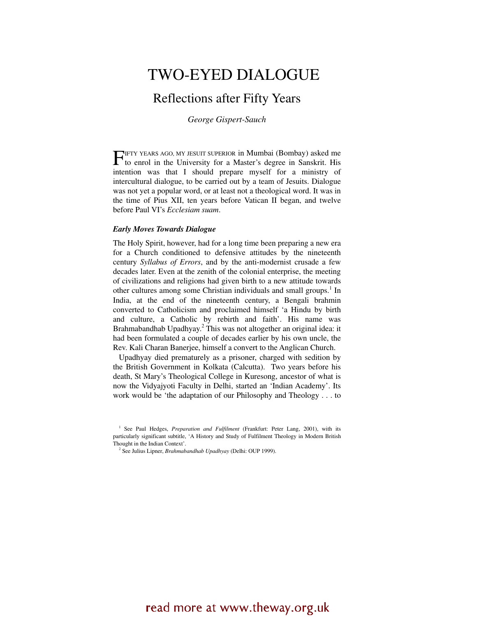# TWO-EYED DIALOGUE

## Reflections after Fifty Years

*George Gispert-Sauch* 

IFTY YEARS AGO, MY JESUIT SUPERIOR in Mumbai (Bombay) asked me **THETY YEARS AGO, MY JESUIT SUPERIOR IN Mumbai (Bombay) asked me** to enrol in the University for a Master's degree in Sanskrit. His intention was that I should prepare myself for a ministry of intercultural dialogue, to be carried out by a team of Jesuits. Dialogue was not yet a popular word, or at least not a theological word. It was in the time of Pius XII, ten years before Vatican II began, and twelve before Paul VI's *Ecclesiam suam*.

#### *Early Moves Towards Dialogue*

The Holy Spirit, however, had for a long time been preparing a new era for a Church conditioned to defensive attitudes by the nineteenth century *Syllabus of Errors*, and by the anti-modernist crusade a few decades later. Even at the zenith of the colonial enterprise, the meeting of civilizations and religions had given birth to a new attitude towards other cultures among some Christian individuals and small groups.<sup>1</sup> In India, at the end of the nineteenth century, a Bengali brahmin converted to Catholicism and proclaimed himself 'a Hindu by birth and culture, a Catholic by rebirth and faith'. His name was Brahmabandhab Upadhyay.<sup>2</sup> This was not altogether an original idea: it had been formulated a couple of decades earlier by his own uncle, the Rev. Kali Charan Banerjee, himself a convert to the Anglican Church.

Upadhyay died prematurely as a prisoner, charged with sedition by the British Government in Kolkata (Calcutta). Two years before his death, St Mary's Theological College in Kuresong, ancestor of what is now the Vidyajyoti Faculty in Delhi, started an 'Indian Academy'. Its work would be 'the adaptation of our Philosophy and Theology . . . to

<sup>&</sup>lt;sup>1</sup> See Paul Hedges, *Preparation and Fulfilment* (Frankfurt: Peter Lang, 2001), with its particularly significant subtitle, 'A History and Study of Fulfilment Theology in Modern British Thought in the Indian Context'.

<sup>&</sup>lt;sup>2</sup> See Julius Lipner, *Brahmabandhab Upadhyay* (Delhi: OUP 1999).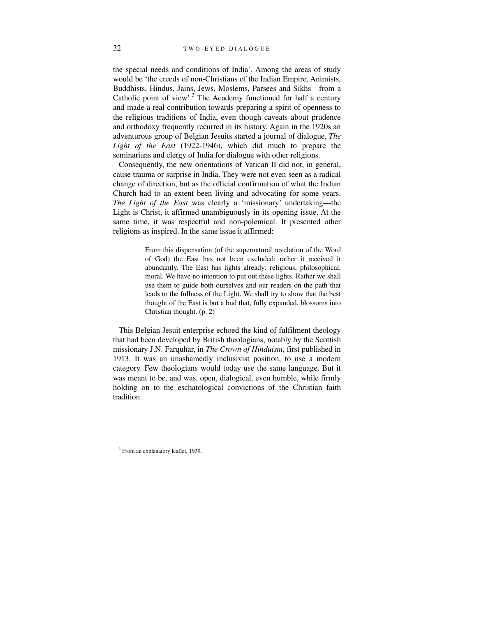the special needs and conditions of India'. Among the areas of study would be 'the creeds of non-Christians of the Indian Empire, Animists, Buddhists, Hindus, Jains, Jews, Moslems, Parsees and Sikhs—from a Catholic point of view'.<sup>3</sup> The Academy functioned for half a century and made a real contribution towards preparing a spirit of openness to the religious traditions of India, even though caveats about prudence and orthodoxy frequently recurred in its history. Again in the 1920s an adventurous group of Belgian Jesuits started a journal of dialogue, *The Light of the East* (1922-1946), which did much to prepare the seminarians and clergy of India for dialogue with other religions.

Consequently, the new orientations of Vatican II did not, in general, cause trauma or surprise in India. They were not even seen as a radical change of direction, but as the official confirmation of what the Indian Church had to an extent been living and advocating for some years. *The Light of the East* was clearly a 'missionary' undertaking—the Light is Christ, it affirmed unambiguously in its opening issue. At the same time, it was respectful and non-polemical. It presented other religions as inspired. In the same issue it affirmed:

> From this dispensation (of the supernatural revelation of the Word of God) the East has not been excluded: rather it received it abundantly. The East has lights already: religious, philosophical, moral. We have no intention to put out these lights. Rather we shall use them to guide both ourselves and our readers on the path that leads to the fullness of the Light. We shall try to show that the best thought of the East is but a bud that, fully expanded, blossoms into Christian thought. (p. 2)

This Belgian Jesuit enterprise echoed the kind of fulfilment theology that had been developed by British theologians, notably by the Scottish missionary J.N. Farquhar, in *The Crown of Hinduism*, first published in 1913. It was an unashamedly inclusivist position, to use a modern category. Few theologians would today use the same language. But it was meant to be, and was, open, dialogical, even humble, while firmly holding on to the eschatological convictions of the Christian faith tradition.

<sup>3</sup> From an explanatory leaflet, 1939.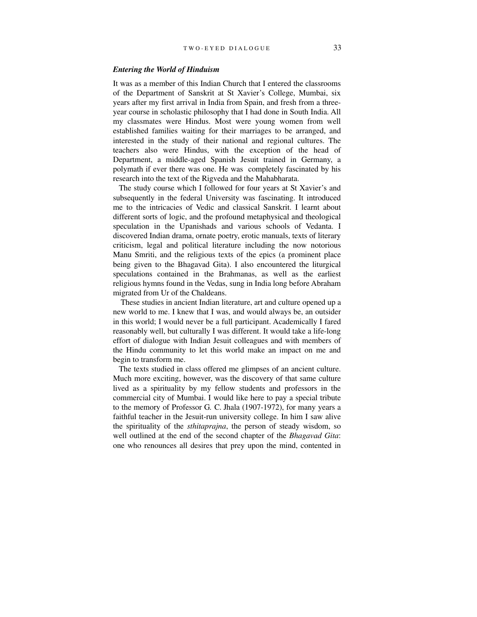#### *Entering the World of Hinduism*

It was as a member of this Indian Church that I entered the classrooms of the Department of Sanskrit at St Xavier's College, Mumbai, six years after my first arrival in India from Spain, and fresh from a threeyear course in scholastic philosophy that I had done in South India. All my classmates were Hindus. Most were young women from well established families waiting for their marriages to be arranged, and interested in the study of their national and regional cultures. The teachers also were Hindus, with the exception of the head of Department, a middle-aged Spanish Jesuit trained in Germany, a polymath if ever there was one. He was completely fascinated by his research into the text of the Rigveda and the Mahabharata.

The study course which I followed for four years at St Xavier's and subsequently in the federal University was fascinating. It introduced me to the intricacies of Vedic and classical Sanskrit. I learnt about different sorts of logic, and the profound metaphysical and theological speculation in the Upanishads and various schools of Vedanta. I discovered Indian drama, ornate poetry, erotic manuals, texts of literary criticism, legal and political literature including the now notorious Manu Smriti, and the religious texts of the epics (a prominent place being given to the Bhagavad Gita). I also encountered the liturgical speculations contained in the Brahmanas, as well as the earliest religious hymns found in the Vedas, sung in India long before Abraham migrated from Ur of the Chaldeans.

 These studies in ancient Indian literature, art and culture opened up a new world to me. I knew that I was, and would always be, an outsider in this world; I would never be a full participant. Academically I fared reasonably well, but culturally I was different. It would take a life-long effort of dialogue with Indian Jesuit colleagues and with members of the Hindu community to let this world make an impact on me and begin to transform me.

The texts studied in class offered me glimpses of an ancient culture. Much more exciting, however, was the discovery of that same culture lived as a spirituality by my fellow students and professors in the commercial city of Mumbai. I would like here to pay a special tribute to the memory of Professor G. C. Jhala (1907-1972), for many years a faithful teacher in the Jesuit-run university college. In him I saw alive the spirituality of the *sthitaprajna*, the person of steady wisdom, so well outlined at the end of the second chapter of the *Bhagavad Gita*: one who renounces all desires that prey upon the mind, contented in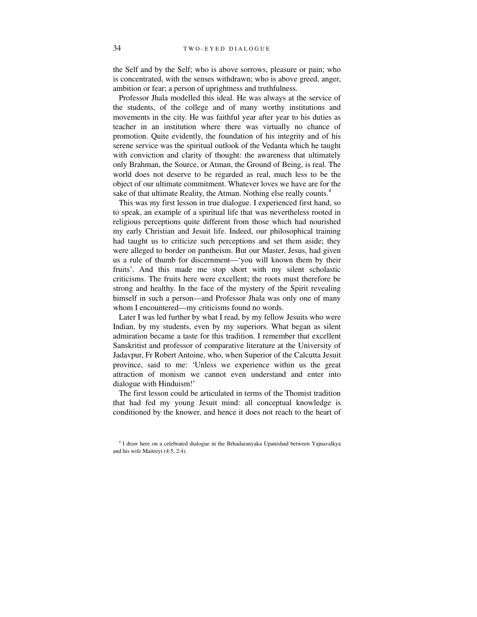the Self and by the Self; who is above sorrows, pleasure or pain; who is concentrated, with the senses withdrawn; who is above greed, anger, ambition or fear; a person of uprightness and truthfulness.

Professor Jhala modelled this ideal. He was always at the service of the students, of the college and of many worthy institutions and movements in the city. He was faithful year after year to his duties as teacher in an institution where there was virtually no chance of promotion. Quite evidently, the foundation of his integrity and of his serene service was the spiritual outlook of the Vedanta which he taught with conviction and clarity of thought: the awareness that ultimately only Brahman, the Source, or Atman, the Ground of Being, is real. The world does not deserve to be regarded as real, much less to be the object of our ultimate commitment. Whatever loves we have are for the sake of that ultimate Reality, the Atman. Nothing else really counts.<sup>4</sup>

This was my first lesson in true dialogue. I experienced first hand, so to speak, an example of a spiritual life that was nevertheless rooted in religious perceptions quite different from those which had nourished my early Christian and Jesuit life. Indeed, our philosophical training had taught us to criticize such perceptions and set them aside; they were alleged to border on pantheism. But our Master, Jesus, had given us a rule of thumb for discernment—'you will known them by their fruits'. And this made me stop short with my silent scholastic criticisms. The fruits here were excellent; the roots must therefore be strong and healthy. In the face of the mystery of the Spirit revealing himself in such a person—and Professor Jhala was only one of many whom I encountered—my criticisms found no words.

Later I was led further by what I read, by my fellow Jesuits who were Indian, by my students, even by my superiors. What began as silent admiration became a taste for this tradition. I remember that excellent Sanskritist and professor of comparative literature at the University of Jadavpur, Fr Robert Antoine, who, when Superior of the Calcutta Jesuit province, said to me: 'Unless we experience within us the great attraction of monism we cannot even understand and enter into dialogue with Hinduism!'

The first lesson could be articulated in terms of the Thomist tradition that had fed my young Jesuit mind: all conceptual knowledge is conditioned by the knower, and hence it does not reach to the heart of

<sup>&</sup>lt;sup>4</sup> I draw here on a celebrated dialogue in the Brhadaranyaka Upanishad between Yajnavalkya and his wife Maitreyi (4:5, 2:4).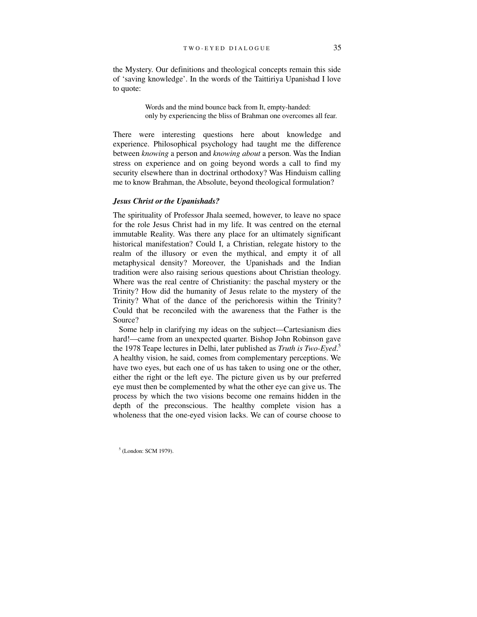the Mystery. Our definitions and theological concepts remain this side of 'saving knowledge'. In the words of the Taittiriya Upanishad I love to quote:

> Words and the mind bounce back from It, empty-handed: only by experiencing the bliss of Brahman one overcomes all fear.

There were interesting questions here about knowledge and experience. Philosophical psychology had taught me the difference between *knowing* a person and *knowing about* a person. Was the Indian stress on experience and on going beyond words a call to find my security elsewhere than in doctrinal orthodoxy? Was Hinduism calling me to know Brahman, the Absolute, beyond theological formulation?

#### *Jesus Christ or the Upanishads?*

The spirituality of Professor Jhala seemed, however, to leave no space for the role Jesus Christ had in my life. It was centred on the eternal immutable Reality. Was there any place for an ultimately significant historical manifestation? Could I, a Christian, relegate history to the realm of the illusory or even the mythical, and empty it of all metaphysical density? Moreover, the Upanishads and the Indian tradition were also raising serious questions about Christian theology. Where was the real centre of Christianity: the paschal mystery or the Trinity? How did the humanity of Jesus relate to the mystery of the Trinity? What of the dance of the perichoresis within the Trinity? Could that be reconciled with the awareness that the Father is the Source?

Some help in clarifying my ideas on the subject—Cartesianism dies hard!—came from an unexpected quarter. Bishop John Robinson gave the 1978 Teape lectures in Delhi, later published as *Truth is Two-Eyed*. 5 A healthy vision, he said, comes from complementary perceptions. We have two eyes, but each one of us has taken to using one or the other, either the right or the left eye. The picture given us by our preferred eye must then be complemented by what the other eye can give us. The process by which the two visions become one remains hidden in the depth of the preconscious. The healthy complete vision has a wholeness that the one-eyed vision lacks. We can of course choose to

<sup>5</sup> (London: SCM 1979).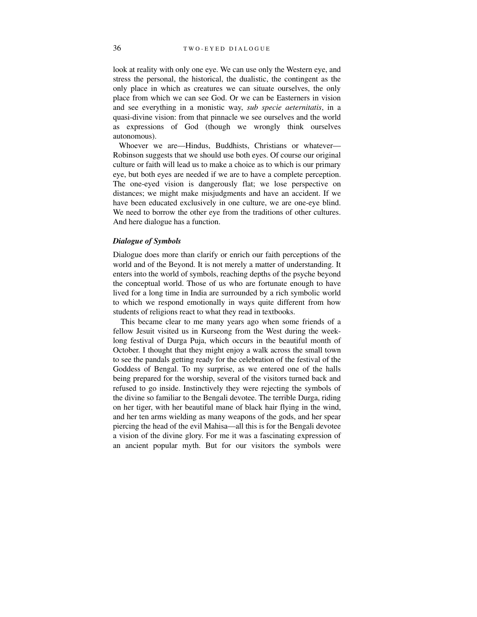look at reality with only one eye. We can use only the Western eye, and stress the personal, the historical, the dualistic, the contingent as the only place in which as creatures we can situate ourselves, the only place from which we can see God. Or we can be Easterners in vision and see everything in a monistic way, *sub specie aeternitatis*, in a quasi-divine vision: from that pinnacle we see ourselves and the world as expressions of God (though we wrongly think ourselves autonomous).

Whoever we are—Hindus, Buddhists, Christians or whatever— Robinson suggests that we should use both eyes. Of course our original culture or faith will lead us to make a choice as to which is our primary eye, but both eyes are needed if we are to have a complete perception. The one-eyed vision is dangerously flat; we lose perspective on distances; we might make misjudgments and have an accident. If we have been educated exclusively in one culture, we are one-eye blind. We need to borrow the other eye from the traditions of other cultures. And here dialogue has a function.

#### *Dialogue of Symbols*

Dialogue does more than clarify or enrich our faith perceptions of the world and of the Beyond. It is not merely a matter of understanding. It enters into the world of symbols, reaching depths of the psyche beyond the conceptual world. Those of us who are fortunate enough to have lived for a long time in India are surrounded by a rich symbolic world to which we respond emotionally in ways quite different from how students of religions react to what they read in textbooks.

 This became clear to me many years ago when some friends of a fellow Jesuit visited us in Kurseong from the West during the weeklong festival of Durga Puja, which occurs in the beautiful month of October. I thought that they might enjoy a walk across the small town to see the pandals getting ready for the celebration of the festival of the Goddess of Bengal. To my surprise, as we entered one of the halls being prepared for the worship, several of the visitors turned back and refused to go inside. Instinctively they were rejecting the symbols of the divine so familiar to the Bengali devotee. The terrible Durga, riding on her tiger, with her beautiful mane of black hair flying in the wind, and her ten arms wielding as many weapons of the gods, and her spear piercing the head of the evil Mahisa—all this is for the Bengali devotee a vision of the divine glory. For me it was a fascinating expression of an ancient popular myth. But for our visitors the symbols were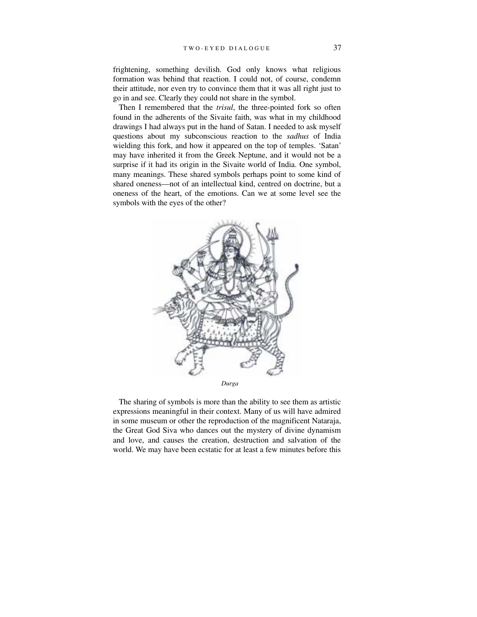frightening, something devilish. God only knows what religious formation was behind that reaction. I could not, of course, condemn their attitude, nor even try to convince them that it was all right just to go in and see. Clearly they could not share in the symbol.

Then I remembered that the *trisul*, the three-pointed fork so often found in the adherents of the Sivaite faith, was what in my childhood drawings I had always put in the hand of Satan. I needed to ask myself questions about my subconscious reaction to the *sadhus* of India wielding this fork, and how it appeared on the top of temples. 'Satan' may have inherited it from the Greek Neptune, and it would not be a surprise if it had its origin in the Sivaite world of India. One symbol, many meanings. These shared symbols perhaps point to some kind of shared oneness—not of an intellectual kind, centred on doctrine, but a oneness of the heart, of the emotions. Can we at some level see the symbols with the eyes of the other?



The sharing of symbols is more than the ability to see them as artistic expressions meaningful in their context. Many of us will have admired in some museum or other the reproduction of the magnificent Nataraja, the Great God Siva who dances out the mystery of divine dynamism and love, and causes the creation, destruction and salvation of the world. We may have been ecstatic for at least a few minutes before this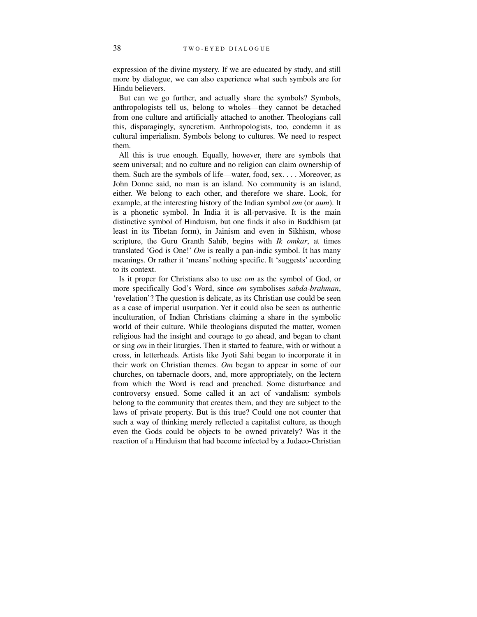expression of the divine mystery. If we are educated by study, and still more by dialogue, we can also experience what such symbols are for Hindu believers.

But can we go further, and actually share the symbols? Symbols, anthropologists tell us, belong to wholes—they cannot be detached from one culture and artificially attached to another. Theologians call this, disparagingly, syncretism. Anthropologists, too, condemn it as cultural imperialism. Symbols belong to cultures. We need to respect them.

All this is true enough. Equally, however, there are symbols that seem universal; and no culture and no religion can claim ownership of them. Such are the symbols of life—water, food, sex. . . . Moreover, as John Donne said, no man is an island. No community is an island, either. We belong to each other, and therefore we share. Look, for example, at the interesting history of the Indian symbol *om* (or *aum*). It is a phonetic symbol. In India it is all-pervasive. It is the main distinctive symbol of Hinduism, but one finds it also in Buddhism (at least in its Tibetan form), in Jainism and even in Sikhism, whose scripture, the Guru Granth Sahib, begins with *Ik omkar*, at times translated 'God is One!' *Om* is really a pan-indic symbol. It has many meanings. Or rather it 'means' nothing specific. It 'suggests' according to its context.

Is it proper for Christians also to use *om* as the symbol of God, or more specifically God's Word, since *om* symbolises *sabda-brahman*, 'revelation'? The question is delicate, as its Christian use could be seen as a case of imperial usurpation. Yet it could also be seen as authentic inculturation, of Indian Christians claiming a share in the symbolic world of their culture. While theologians disputed the matter, women religious had the insight and courage to go ahead, and began to chant or sing *om* in their liturgies. Then it started to feature, with or without a cross, in letterheads. Artists like Jyoti Sahi began to incorporate it in their work on Christian themes. *Om* began to appear in some of our churches, on tabernacle doors, and, more appropriately, on the lectern from which the Word is read and preached. Some disturbance and controversy ensued. Some called it an act of vandalism: symbols belong to the community that creates them, and they are subject to the laws of private property. But is this true? Could one not counter that such a way of thinking merely reflected a capitalist culture, as though even the Gods could be objects to be owned privately? Was it the reaction of a Hinduism that had become infected by a Judaeo-Christian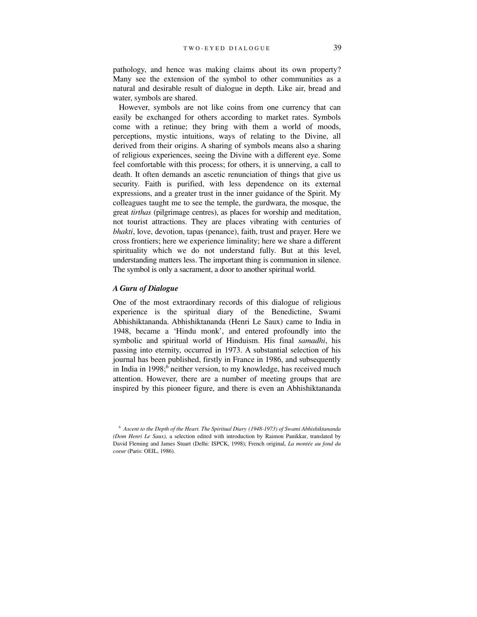pathology, and hence was making claims about its own property? Many see the extension of the symbol to other communities as a natural and desirable result of dialogue in depth. Like air, bread and water, symbols are shared.

However, symbols are not like coins from one currency that can easily be exchanged for others according to market rates. Symbols come with a retinue; they bring with them a world of moods, perceptions, mystic intuitions, ways of relating to the Divine, all derived from their origins. A sharing of symbols means also a sharing of religious experiences, seeing the Divine with a different eye. Some feel comfortable with this process; for others, it is unnerving, a call to death. It often demands an ascetic renunciation of things that give us security. Faith is purified, with less dependence on its external expressions, and a greater trust in the inner guidance of the Spirit. My colleagues taught me to see the temple, the gurdwara, the mosque, the great *tirthas* (pilgrimage centres), as places for worship and meditation, not tourist attractions. They are places vibrating with centuries of *bhakti*, love, devotion, tapas (penance), faith, trust and prayer. Here we cross frontiers; here we experience liminality; here we share a different spirituality which we do not understand fully. But at this level, understanding matters less. The important thing is communion in silence. The symbol is only a sacrament, a door to another spiritual world.

### *A Guru of Dialogue*

One of the most extraordinary records of this dialogue of religious experience is the spiritual diary of the Benedictine, Swami Abhishiktananda. Abhishiktananda (Henri Le Saux) came to India in 1948, became a 'Hindu monk', and entered profoundly into the symbolic and spiritual world of Hinduism. His final *samadhi*, his passing into eternity, occurred in 1973. A substantial selection of his journal has been published, firstly in France in 1986, and subsequently in India in 1998;<sup>6</sup> neither version, to my knowledge, has received much attention. However, there are a number of meeting groups that are inspired by this pioneer figure, and there is even an Abhishiktananda

<sup>6</sup> *Ascent to the Depth of the Heart. The Spiritual Diary (1948-1973) of Swami Abhishiktananda (Dom Henri Le Saux),* a selection edited with introduction by Raimon Panikkar, translated by David Fleming and James Stuart (Delhi: ISPCK, 1998); French original, *La montée au fond du coeur* (Paris: OEIL, 1986).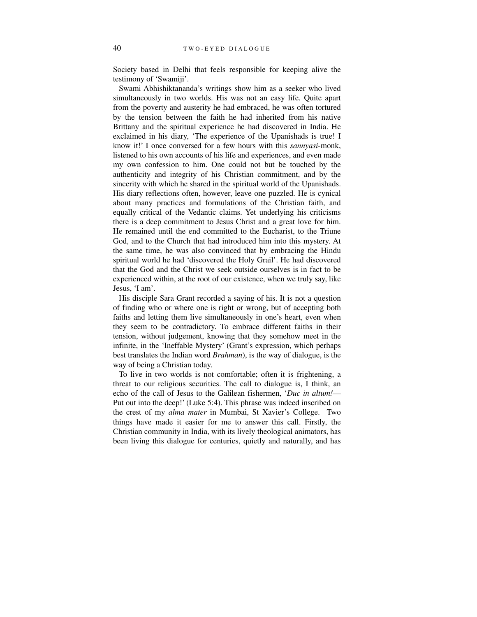Society based in Delhi that feels responsible for keeping alive the testimony of 'Swamiji'.

Swami Abhishiktananda's writings show him as a seeker who lived simultaneously in two worlds. His was not an easy life. Quite apart from the poverty and austerity he had embraced, he was often tortured by the tension between the faith he had inherited from his native Brittany and the spiritual experience he had discovered in India. He exclaimed in his diary, 'The experience of the Upanishads is true! I know it!' I once conversed for a few hours with this *sannyasi*-monk, listened to his own accounts of his life and experiences, and even made my own confession to him. One could not but be touched by the authenticity and integrity of his Christian commitment, and by the sincerity with which he shared in the spiritual world of the Upanishads. His diary reflections often, however, leave one puzzled. He is cynical about many practices and formulations of the Christian faith, and equally critical of the Vedantic claims. Yet underlying his criticisms there is a deep commitment to Jesus Christ and a great love for him. He remained until the end committed to the Eucharist, to the Triune God, and to the Church that had introduced him into this mystery. At the same time, he was also convinced that by embracing the Hindu spiritual world he had 'discovered the Holy Grail'. He had discovered that the God and the Christ we seek outside ourselves is in fact to be experienced within, at the root of our existence, when we truly say, like Jesus, 'I am'.

His disciple Sara Grant recorded a saying of his. It is not a question of finding who or where one is right or wrong, but of accepting both faiths and letting them live simultaneously in one's heart, even when they seem to be contradictory. To embrace different faiths in their tension, without judgement, knowing that they somehow meet in the infinite, in the 'Ineffable Mystery' (Grant's expression, which perhaps best translates the Indian word *Brahman*), is the way of dialogue, is the way of being a Christian today.

To live in two worlds is not comfortable; often it is frightening, a threat to our religious securities. The call to dialogue is, I think, an echo of the call of Jesus to the Galilean fishermen, '*Duc in altum!*— Put out into the deep!' (Luke 5:4). This phrase was indeed inscribed on the crest of my *alma mater* in Mumbai, St Xavier's College. Two things have made it easier for me to answer this call. Firstly, the Christian community in India, with its lively theological animators, has been living this dialogue for centuries, quietly and naturally, and has